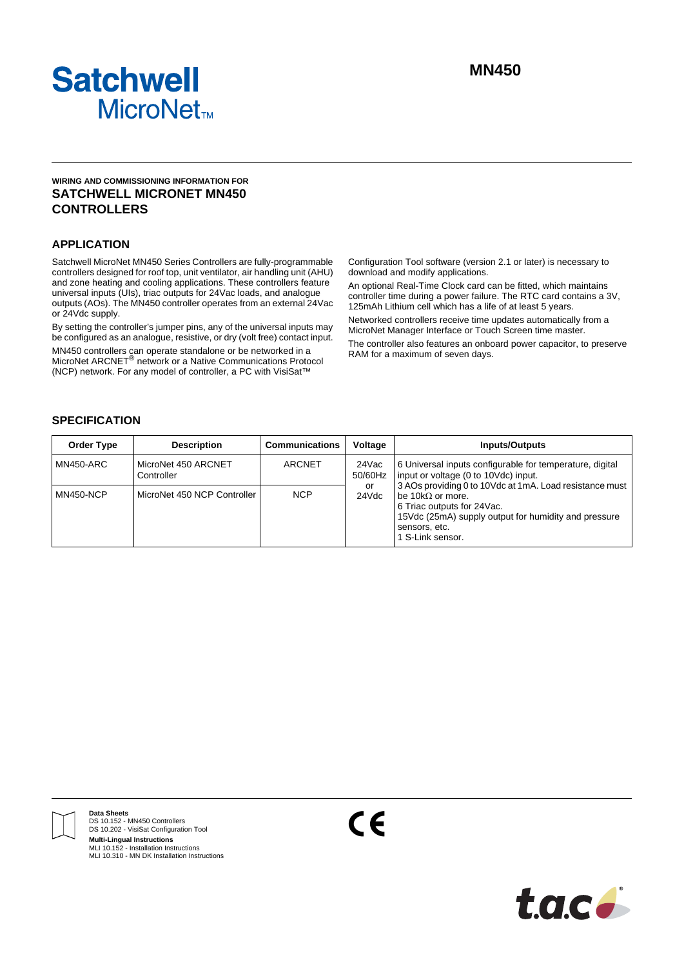

# **WIRING AND COMMISSIONING INFORMATION FOR SATCHWELL MICRONET MN450 CONTROLLERS**

# **APPLICATION**

Satchwell MicroNet MN450 Series Controllers are fully-programmable controllers designed for roof top, unit ventilator, air handling unit (AHU) and zone heating and cooling applications. These controllers feature universal inputs (UIs), triac outputs for 24Vac loads, and analogue outputs (AOs). The MN450 controller operates from an external 24Vac or 24Vdc supply.

By setting the controller's jumper pins, any of the universal inputs may be configured as an analogue, resistive, or dry (volt free) contact input. MN450 controllers can operate standalone or be networked in a MicroNet ARCNET<sup>®</sup> network or a Native Communications Protocol (NCP) network. For any model of controller, a PC with VisiSat™

Configuration Tool software (version 2.1 or later) is necessary to download and modify applications.

An optional Real-Time Clock card can be fitted, which maintains controller time during a power failure. The RTC card contains a 3V, 125mAh Lithium cell which has a life of at least 5 years. Networked controllers receive time updates automatically from a MicroNet Manager Interface or Touch Screen time master.

The controller also features an onboard power capacitor, to preserve RAM for a maximum of seven days.

# **SPECIFICATION**

| <b>Order Type</b> | <b>Description</b>                | <b>Communications</b> | Voltage          | Inputs/Outputs                                                                                                                                                                                                  |
|-------------------|-----------------------------------|-----------------------|------------------|-----------------------------------------------------------------------------------------------------------------------------------------------------------------------------------------------------------------|
| MN450-ARC         | MicroNet 450 ARCNET<br>Controller | <b>ARCNET</b>         | 24Vac<br>50/60Hz | 6 Universal inputs configurable for temperature, digital<br>input or voltage (0 to 10Vdc) input.                                                                                                                |
| <b>MN450-NCP</b>  | MicroNet 450 NCP Controller       | <b>NCP</b>            | or<br>24Vdc      | 3 AOs providing 0 to 10Vdc at 1mA. Load resistance must<br>be 10k $\Omega$ or more.<br>6 Triac outputs for 24 Vac.<br>15Vdc (25mA) supply output for humidity and pressure<br>sensors, etc.<br>1 S-Link sensor. |



**Data Sheets** DS 10.152 - MN450 Controllers DS 10.202 - VisiSat Configuration Tool **Multi-Lingual Instructions** MLI 10.152 - Installation Instructions MLI 10.310 - MN DK Installation Instructions

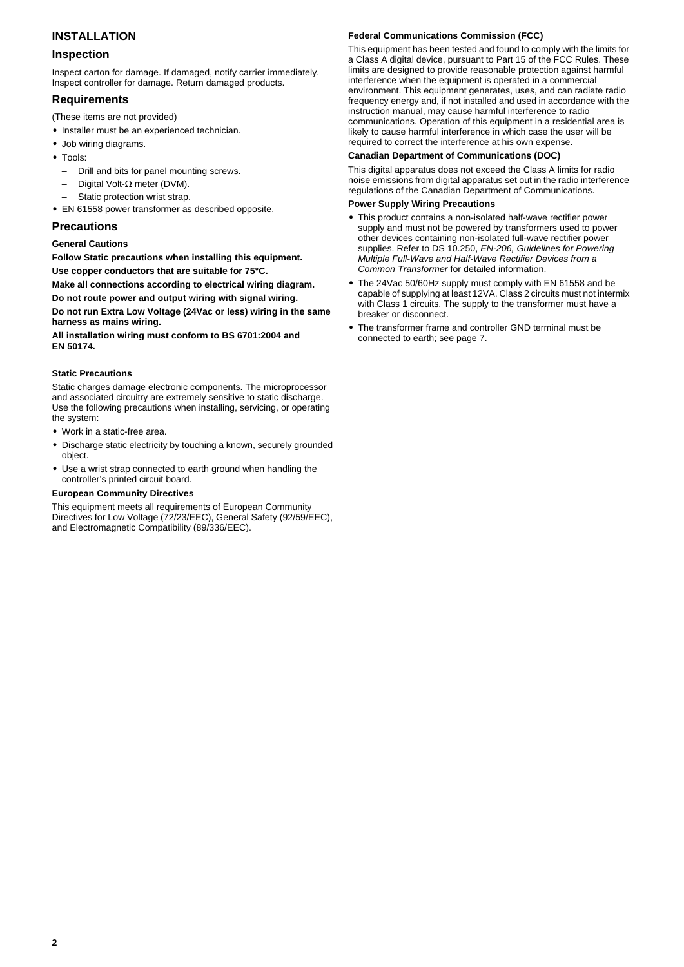# **INSTALLATION**

# **Inspection**

Inspect carton for damage. If damaged, notify carrier immediately. Inspect controller for damage. Return damaged products.

# **Requirements**

- (These items are not provided)
- **•** Installer must be an experienced technician.
- **•** Job wiring diagrams.
- **•** Tools:
	- Drill and bits for panel mounting screws.
	- Digital Volt-Ω meter (DVM).
	- Static protection wrist strap.
- **•** EN 61558 power transformer as described opposite.

# **Precautions**

# **General Cautions**

**Follow Static precautions when installing this equipment. Use copper conductors that are suitable for 75°C.**

**Make all connections according to electrical wiring diagram.** 

**Do not route power and output wiring with signal wiring.**

**Do not run Extra Low Voltage (24Vac or less) wiring in the same harness as mains wiring.**

**All installation wiring must conform to BS 6701:2004 and EN 50174.**

# **Static Precautions**

Static charges damage electronic components. The microprocessor and associated circuitry are extremely sensitive to static discharge. Use the following precautions when installing, servicing, or operating the system:

- **•** Work in a static-free area.
- **•** Discharge static electricity by touching a known, securely grounded object.
- **•** Use a wrist strap connected to earth ground when handling the controller's printed circuit board.

## **European Community Directives**

This equipment meets all requirements of European Community Directives for Low Voltage (72/23/EEC), General Safety (92/59/EEC), and Electromagnetic Compatibility (89/336/EEC).

# **Federal Communications Commission (FCC)**

This equipment has been tested and found to comply with the limits for a Class A digital device, pursuant to Part 15 of the FCC Rules. These limits are designed to provide reasonable protection against harmful interference when the equipment is operated in a commercial environment. This equipment generates, uses, and can radiate radio frequency energy and, if not installed and used in accordance with the instruction manual, may cause harmful interference to radio communications. Operation of this equipment in a residential area is likely to cause harmful interference in which case the user will be required to correct the interference at his own expense.

## **Canadian Department of Communications (DOC)**

This digital apparatus does not exceed the Class A limits for radio noise emissions from digital apparatus set out in the radio interference regulations of the Canadian Department of Communications.

## **Power Supply Wiring Precautions**

- **•** This product contains a non-isolated half-wave rectifier power supply and must not be powered by transformers used to power other devices containing non-isolated full-wave rectifier power supplies. Refer to DS 10.250, *EN-206, Guidelines for Powering Multiple Full-Wave and Half-Wave Rectifier Devices from a Common Transformer* for detailed information.
- **•** The 24Vac 50/60Hz supply must comply with EN 61558 and be capable of supplying at least 12VA. Class 2 circuits must not intermix with Class 1 circuits. The supply to the transformer must have a breaker or disconnect.
- **•** The transformer frame and controller GND terminal must be connected to earth; see [page 7](#page-6-0).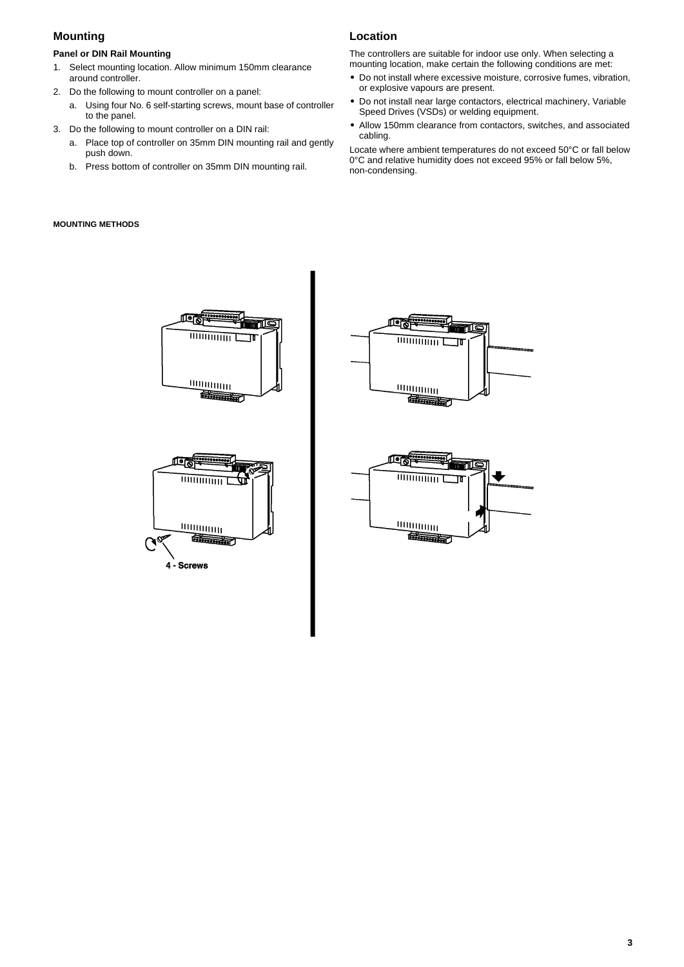# **Mounting**

# **Panel or DIN Rail Mounting**

- 1. Select mounting location. Allow minimum 150mm clearance around controller.
- 2. Do the following to mount controller on a panel:
	- a. Using four No. 6 self-starting screws, mount base of controller to the panel.
- 3. Do the following to mount controller on a DIN rail:
	- a. Place top of controller on 35mm DIN mounting rail and gently push down.
	- b. Press bottom of controller on 35mm DIN mounting rail.

# **MOUNTING METHODS**

# **Location**

The controllers are suitable for indoor use only. When selecting a mounting location, make certain the following conditions are met:

- **•** Do not install where excessive moisture, corrosive fumes, vibration, or explosive vapours are present.
- **•** Do not install near large contactors, electrical machinery, Variable Speed Drives (VSDs) or welding equipment.
- **•** Allow 150mm clearance from contactors, switches, and associated cabling.

Locate where ambient temperatures do not exceed 50°C or fall below 0°C and relative humidity does not exceed 95% or fall below 5%, non-condensing.



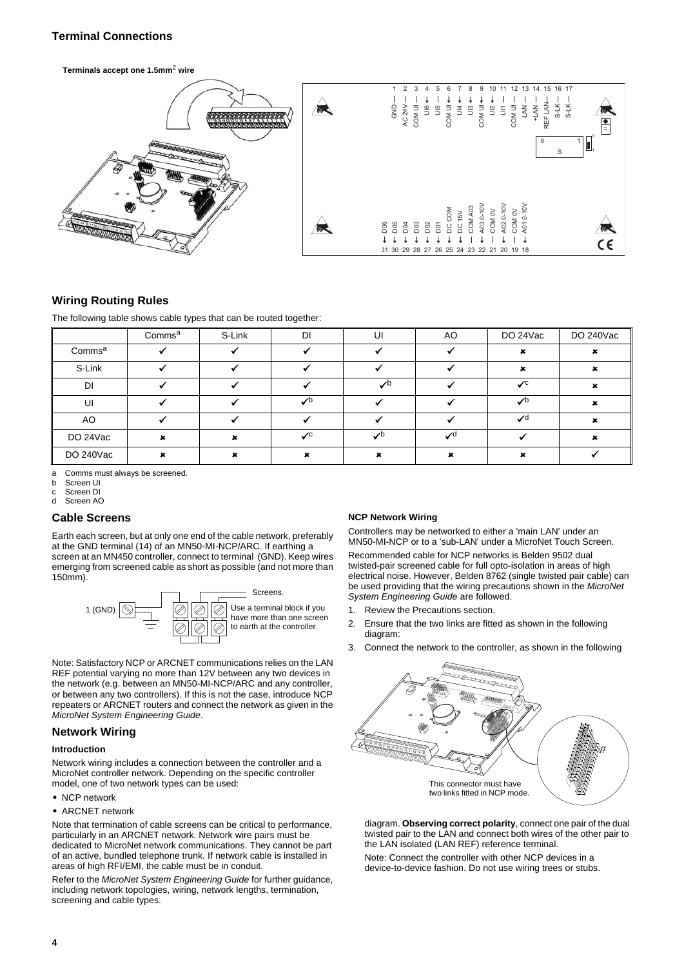# **Terminal Connections**

**Terminals accept one 1.5mm**2 **wire**



# **Wiring Routing Rules**

The following table shows cable types that can be routed together:

|                    | Comms <sup>a</sup> | S-Link | DI                         | UI            | AO              | DO 24Vac                   | DO 240Vac |
|--------------------|--------------------|--------|----------------------------|---------------|-----------------|----------------------------|-----------|
| Comms <sup>a</sup> |                    |        |                            |               |                 |                            |           |
| S-Link             |                    |        |                            |               |                 |                            |           |
| DI                 |                    |        |                            | $\sqrt{D}$    |                 | $\mathcal{L}^{\mathsf{C}}$ |           |
| U                  |                    |        | $\mathcal{L}^{\mathsf{b}}$ |               |                 | $\mathcal{L}^{\mathsf{b}}$ |           |
| AO                 |                    |        |                            |               |                 | $\mathcal{L}$ d            |           |
| DO 24Vac           |                    |        | $\chi$ <sub>C</sub>        | $\mathcal{L}$ | $\mathcal{L}$ d |                            |           |
| DO 240Vac          |                    |        |                            |               |                 |                            |           |

a Comms must always be screened.

b Screen UI

c Screen DI

d Screen AO

## **Cable Screens**

Earth each screen, but at only one end of the cable network, preferably at the GND terminal (14) of an MN50-MI-NCP/ARC. If earthing a screen at an MN450 controller, connect to terminal (GND). Keep wires emerging from screened cable as short as possible (and not more than 150mm).



Note: Satisfactory NCP or ARCNET communications relies on the LAN REF potential varying no more than 12V between any two devices in the network (e.g. between an MN50-MI-NCP/ARC and any controller, or between any two controllers). If this is not the case, introduce NCP repeaters or ARCNET routers and connect the network as given in the *MicroNet System Engineering Guide*.

## **Network Wiring**

#### **Introduction**

Network wiring includes a connection between the controller and a MicroNet controller network. Depending on the specific controller model, one of two network types can be used:

- **•** NCP network
- **•** ARCNET network

Note that termination of cable screens can be critical to performance, particularly in an ARCNET network. Network wire pairs must be dedicated to MicroNet network communications. They cannot be part of an active, bundled telephone trunk. If network cable is installed in areas of high RFI/EMI, the cable must be in conduit.

Refer to the *MicroNet System Engineering Guide* for further guidance, including network topologies, wiring, network lengths, termination, screening and cable types.

## **NCP Network Wiring**

Controllers may be networked to either a 'main LAN' under an MN50-MI-NCP or to a 'sub-LAN' under a MicroNet Touch Screen. Recommended cable for NCP networks is Belden 9502 dual twisted-pair screened cable for full opto-isolation in areas of high electrical noise. However, Belden 8762 (single twisted pair cable) can be used providing that the wiring precautions shown in the *MicroNet System Engineering Guide* are followed.

- 1. Review the Precautions section.
- 2. Ensure that the two links are fitted as shown in the following diagram:
- 3. Connect the network to the controller, as shown in the following



diagram. **Observing correct polarity**, connect one pair of the dual twisted pair to the LAN and connect both wires of the other pair to the LAN isolated (LAN REF) reference terminal.

Note: Connect the controller with other NCP devices in a device-to-device fashion. Do not use wiring trees or stubs.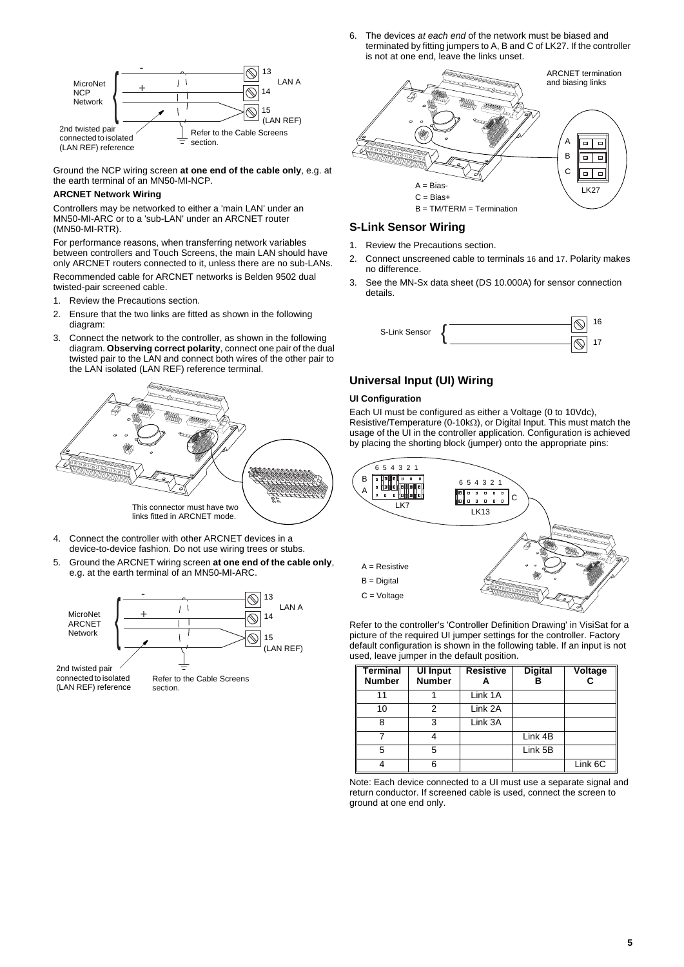6. The devices *at each end* of the network must be biased and terminated by fitting jumpers to A, B and C of LK27. If the controller is not at one end, leave the links unset.



Ground the NCP wiring screen **at one end of the cable only**, e.g. at the earth terminal of an MN50-MI-NCP.

# **ARCNET Network Wiring**

Controllers may be networked to either a 'main LAN' under an MN50-MI-ARC or to a 'sub-LAN' under an ARCNET router (MN50-MI-RTR).

For performance reasons, when transferring network variables between controllers and Touch Screens, the main LAN should have only ARCNET routers connected to it, unless there are no sub-LANs. Recommended cable for ARCNET networks is Belden 9502 dual

twisted-pair screened cable.

- 1. Review the Precautions section.
- 2. Ensure that the two links are fitted as shown in the following diagram:
- 3. Connect the network to the controller, as shown in the following diagram. **Observing correct polarity**, connect one pair of the dual twisted pair to the LAN and connect both wires of the other pair to the LAN isolated (LAN REF) reference terminal.



- Connect the controller with other ARCNET devices in a device-to-device fashion. Do not use wiring trees or stubs.
- 5. Ground the ARCNET wiring screen **at one end of the cable only**, e.g. at the earth terminal of an MN50-MI-ARC.



connected to isolated (LAN REF) reference

Refer to the Cable Screens section.



# **S-Link Sensor Wiring**

- 1. Review the Precautions section.
- 2. Connect unscreened cable to terminals 16 and 17. Polarity makes no difference.
- 3. See the MN-Sx data sheet (DS 10.000A) for sensor connection details.



# **Universal Input (UI) Wiring**

## **UI Configuration**

Each UI must be configured as either a Voltage (0 to 10Vdc), Resistive/Temperature (0-10kΩ), or Digital Input. This must match the usage of the UI in the controller application. Configuration is achieved by placing the shorting block (jumper) onto the appropriate pins:



Refer to the controller's 'Controller Definition Drawing' in VisiSat for a picture of the required UI jumper settings for the controller. Factory default configuration is shown in the following table. If an input is not used, leave jumper in the default position.

| Terminal<br><b>Number</b> | <b>UI Input</b><br><b>Number</b> | <b>Resistive</b> | <b>Digital</b> | Voltage |
|---------------------------|----------------------------------|------------------|----------------|---------|
| 11                        |                                  | Link 1A          |                |         |
| 10                        | 2                                | Link 2A          |                |         |
| 8                         | 3                                | Link 3A          |                |         |
|                           |                                  |                  | Link 4B        |         |
| 5                         | 5                                |                  | Link 5B        |         |
|                           | ี                                |                  |                | Link 6C |

Note: Each device connected to a UI must use a separate signal and return conductor. If screened cable is used, connect the screen to ground at one end only.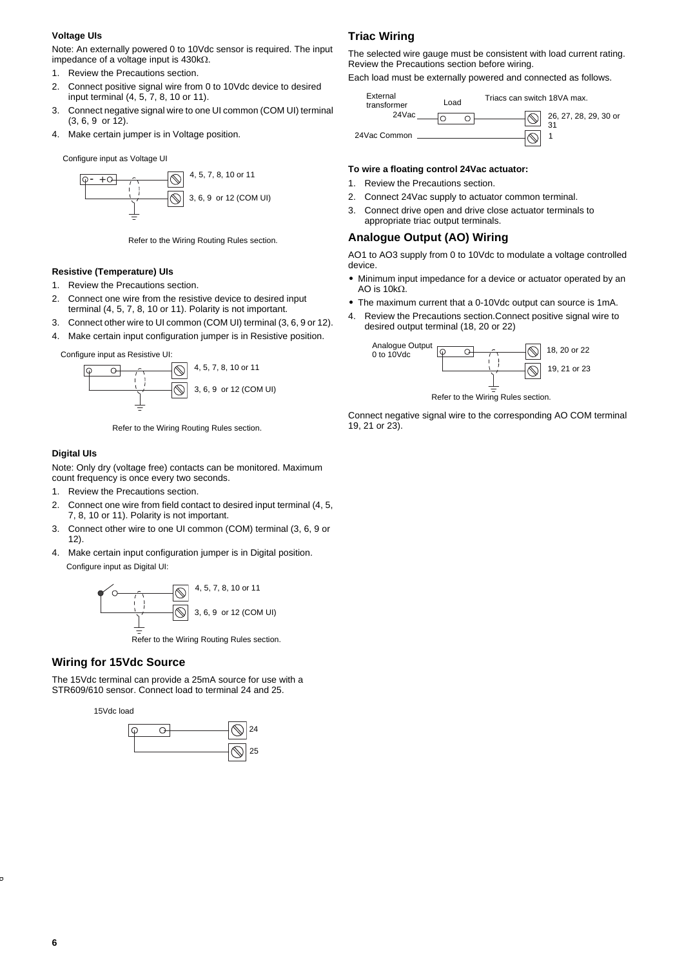### **Voltage UIs**

Note: An externally powered 0 to 10Vdc sensor is required. The input impedance of a voltage input is 430kΩ.

- 1. Review the Precautions section.
- 2. Connect positive signal wire from 0 to 10Vdc device to desired input terminal (4, 5, 7, 8, 10 or 11).
- 3. Connect negative signal wire to one UI common (COM UI) terminal (3, 6, 9 or 12).
- 4. Make certain jumper is in Voltage position.

Configure input as Voltage UI



Refer to the Wiring Routing Rules section.

## **Resistive (Temperature) UIs**

- 1. Review the Precautions section.
- 2. Connect one wire from the resistive device to desired input terminal (4, 5, 7, 8, 10 or 11). Polarity is not important.
- 3. Connect other wire to UI common (COM UI) terminal (3, 6, 9 or 12).
- 4. Make certain input configuration jumper is in Resistive position.

Configure input as Resistive UI:



Refer to the Wiring Routing Rules section.

#### **Digital UIs**

Note: Only dry (voltage free) contacts can be monitored. Maximum count frequency is once every two seconds.

- 1. Review the Precautions section.
- 2. Connect one wire from field contact to desired input terminal (4, 5, 7, 8, 10 or 11). Polarity is not important.
- 3. Connect other wire to one UI common (COM) terminal (3, 6, 9 or 12).
- 4. Make certain input configuration jumper is in Digital position. Configure input as Digital UI:



Refer to the Wiring Routing Rules section.

# **Wiring for 15Vdc Source**

The 15Vdc terminal can provide a 25mA source for use with a STR609/610 sensor. Connect load to terminal 24 and 25.

15Vdc load



# **Triac Wiring**

The selected wire gauge must be consistent with load current rating. Review the Precautions section before wiring.

Each load must be externally powered and connected as follows.

| External<br>transformer | Load | Triacs can switch 18VA max. |
|-------------------------|------|-----------------------------|
| 24Vac                   |      | 26, 27, 28, 29, 30 or       |
| 24Vac Common            |      |                             |

### **To wire a floating control 24Vac actuator:**

- 1. Review the Precautions section.
- 2. Connect 24Vac supply to actuator common terminal.
- 3. Connect drive open and drive close actuator terminals to appropriate triac output terminals.

# **Analogue Output (AO) Wiring**

AO1 to AO3 supply from 0 to 10Vdc to modulate a voltage controlled device.

- **•** Minimum input impedance for a device or actuator operated by an AO is 10kΩ.
- **•** The maximum current that a 0-10Vdc output can source is 1mA.
- 4. Review the Precautions section.Connect positive signal wire to desired output terminal (18, 20 or 22)



Refer to the Wiring Rules section.

Connect negative signal wire to the corresponding AO COM terminal 19, 21 or 23).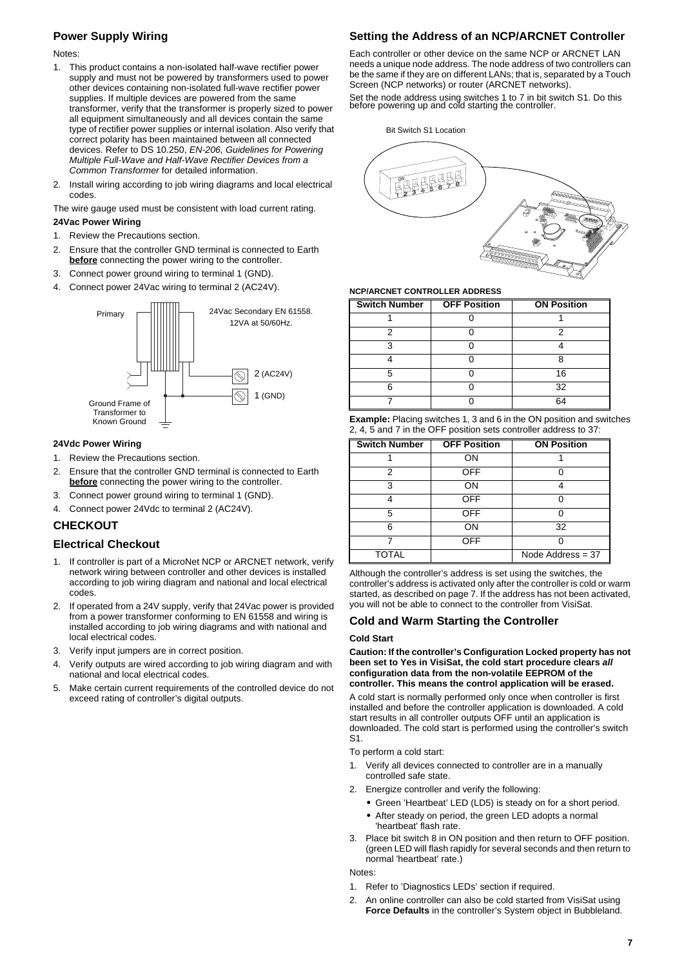# <span id="page-6-0"></span>**Power Supply Wiring**

#### Notes:

- 1. This product contains a non-isolated half-wave rectifier power supply and must not be powered by transformers used to power other devices containing non-isolated full-wave rectifier power supplies. If multiple devices are powered from the same transformer, verify that the transformer is properly sized to power all equipment simultaneously and all devices contain the same type of rectifier power supplies or internal isolation. Also verify that correct polarity has been maintained between all connected devices. Refer to DS 10.250, *EN-206, Guidelines for Powering Multiple Full-Wave and Half-Wave Rectifier Devices from a Common Transformer* for detailed information.
- 2. Install wiring according to job wiring diagrams and local electrical codes.

The wire gauge used must be consistent with load current rating. **24Vac Power Wiring**

- 1. Review the Precautions section.
- 2. Ensure that the controller GND terminal is connected to Earth **before** connecting the power wiring to the controller.
- 3. Connect power ground wiring to terminal 1 (GND).
- 4. Connect power 24Vac wiring to terminal 2 (AC24V).



#### **24Vdc Power Wiring**

- 1. Review the Precautions section.
- 2. Ensure that the controller GND terminal is connected to Earth **before** connecting the power wiring to the controller.
- 3. Connect power ground wiring to terminal 1 (GND).
- 4. Connect power 24Vdc to terminal 2 (AC24V).

# **CHECKOUT**

## **Electrical Checkout**

- 1. If controller is part of a MicroNet NCP or ARCNET network, verify network wiring between controller and other devices is installed according to job wiring diagram and national and local electrical codes.
- 2. If operated from a 24V supply, verify that 24Vac power is provided from a power transformer conforming to EN 61558 and wiring is installed according to job wiring diagrams and with national and local electrical codes.
- 3. Verify input jumpers are in correct position.
- 4. Verify outputs are wired according to job wiring diagram and with national and local electrical codes.
- 5. Make certain current requirements of the controlled device do not exceed rating of controller's digital outputs.

## **Setting the Address of an NCP/ARCNET Controller**

Each controller or other device on the same NCP or ARCNET LAN needs a unique node address. The node address of two controllers can be the same if they are on different LANs; that is, separated by a Touch Screen (NCP networks) or router (ARCNET networks).

Set the node address using switches 1 to 7 in bit switch S1. Do this before powering up and cold starting the controller.

Bit Switch S1 Location



#### **NCP/ARCNET CONTROLLER ADDRESS**

| <b>Switch Number</b> | <b>OFF Position</b> | <b>ON Position</b> |
|----------------------|---------------------|--------------------|
|                      |                     |                    |
|                      |                     | n                  |
| ว                    |                     |                    |
|                      |                     |                    |
|                      |                     | 16                 |
| c                    |                     | 32                 |
|                      |                     | RΔ                 |

| <b>Example:</b> Placing switches 1, 3 and 6 in the ON position and switches |
|-----------------------------------------------------------------------------|
| 2, 4, 5 and 7 in the OFF position sets controller address to 37:            |

| <b>Switch Number</b> | <b>OFF Position</b> | <b>ON Position</b>  |
|----------------------|---------------------|---------------------|
|                      | ON                  |                     |
| 2                    | <b>OFF</b>          |                     |
| 3                    | ON                  |                     |
|                      | <b>OFF</b>          |                     |
| 5                    | <b>OFF</b>          | O                   |
| ี                    | ON                  | 32                  |
|                      | <b>OFF</b>          |                     |
| <b>TOTAL</b>         |                     | Node Address $= 37$ |

Although the controller's address is set using the switches, the controller's address is activated only after the controller is cold or warm started, as described on [page 7](#page-6-1). If the address has not been activated, you will not be able to connect to the controller from VisiSat.

#### <span id="page-6-1"></span>**Cold and Warm Starting the Controller**

#### **Cold Start**

**Caution: If the controller's Configuration Locked property has not been set to Yes in VisiSat, the cold start procedure clears** *all* **configuration data from the non-volatile EEPROM of the controller. This means the control application will be erased.**

A cold start is normally performed only once when controller is first installed and before the controller application is downloaded. A cold start results in all controller outputs OFF until an application is downloaded. The cold start is performed using the controller's switch S1.

To perform a cold start:

- 1. Verify all devices connected to controller are in a manually controlled safe state.
- 2. Energize controller and verify the following:
	- **•** Green 'Heartbeat' LED (LD5) is steady on for a short period.
	- **•** After steady on period, the green LED adopts a normal 'heartbeat' flash rate.
- 3. Place bit switch 8 in ON position and then return to OFF position. (green LED will flash rapidly for several seconds and then return to normal 'heartbeat' rate.)

Notes:

- 1. Refer to 'Diagnostics LEDs' section if required.
- 2. An online controller can also be cold started from VisiSat using **Force Defaults** in the controller's System object in Bubbleland.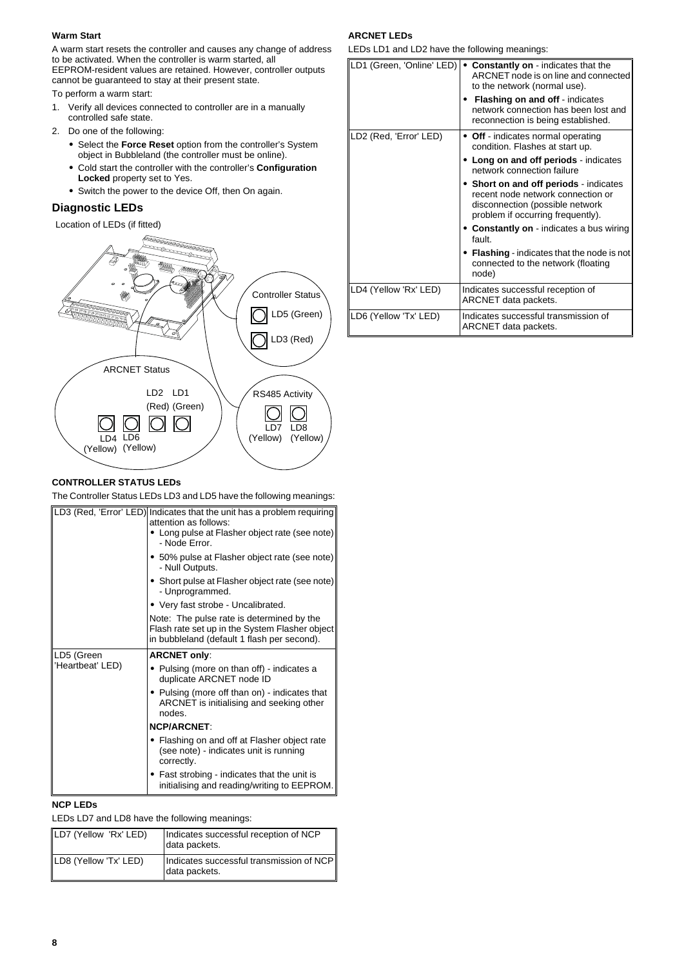## **Warm Start**

A warm start resets the controller and causes any change of address to be activated. When the controller is warm started, all EEPROM-resident values are retained. However, controller outputs

cannot be guaranteed to stay at their present state.

To perform a warm start:

- 1. Verify all devices connected to controller are in a manually controlled safe state.
- 2. Do one of the following:
	- **•** Select the **Force Reset** option from the controller's System object in Bubbleland (the controller must be online).
	- **•** Cold start the controller with the controller's **Configuration Locked** property set to Yes.
	- **•** Switch the power to the device Off, then On again.

# **Diagnostic LEDs**

Location of LEDs (if fitted)



# **CONTROLLER STATUS LEDs**

The Controller Status LEDs LD3 and LD5 have the following meanings:

|                  | LD3 (Red, 'Error' LED) Indicates that the unit has a problem requiring<br>attention as follows:<br>• Long pulse at Flasher object rate (see note)<br>- Node Error. |
|------------------|--------------------------------------------------------------------------------------------------------------------------------------------------------------------|
|                  | • 50% pulse at Flasher object rate (see note)<br>- Null Outputs.                                                                                                   |
|                  | • Short pulse at Flasher object rate (see note)<br>- Unprogrammed.                                                                                                 |
|                  | • Very fast strobe - Uncalibrated.                                                                                                                                 |
|                  | Note: The pulse rate is determined by the<br>Flash rate set up in the System Flasher object<br>in bubbleland (default 1 flash per second).                         |
| LD5 (Green       |                                                                                                                                                                    |
|                  | <b>ARCNET only:</b>                                                                                                                                                |
| 'Heartbeat' LED) | • Pulsing (more on than off) - indicates a<br>duplicate ARCNET node ID                                                                                             |
|                  | • Pulsing (more off than on) - indicates that<br>ARCNET is initialising and seeking other<br>nodes                                                                 |
|                  | <b>NCP/ARCNET</b>                                                                                                                                                  |
|                  | • Flashing on and off at Flasher object rate<br>(see note) - indicates unit is running<br>correctly.                                                               |

# **NCP LEDs**

LEDs LD7 and LD8 have the following meanings:

| LD7 (Yellow 'Rx' LED) | Indicates successful reception of NCP<br>data packets.    |
|-----------------------|-----------------------------------------------------------|
| LD8 (Yellow 'Tx' LED) | Indicates successful transmission of NCP<br>data packets. |

# **ARCNET LEDs**

LEDs LD1 and LD2 have the following meanings:

| LD1 (Green, 'Online' LED) | • Constantly on - indicates that the<br>ARCNET node is on line and connected<br>to the network (normal use).<br><b>Flashing on and off</b> - indicates<br>network connection has been lost and |
|---------------------------|------------------------------------------------------------------------------------------------------------------------------------------------------------------------------------------------|
|                           | reconnection is being established.                                                                                                                                                             |
| LD2 (Red, 'Error' LED)    | • Off - indicates normal operating<br>condition. Flashes at start up.                                                                                                                          |
|                           | Long on and off periods - indicates<br>network connection failure                                                                                                                              |
|                           | • Short on and off periods - indicates<br>recent node network connection or<br>disconnection (possible network<br>problem if occurring frequently).                                            |
|                           | • Constantly on - indicates a bus wiring<br>fault.                                                                                                                                             |
|                           | • Flashing - indicates that the node is not<br>connected to the network (floating<br>node)                                                                                                     |
| LD4 (Yellow 'Rx' LED)     | Indicates successful reception of<br>ARCNET data packets.                                                                                                                                      |
| LD6 (Yellow 'Tx' LED)     | Indicates successful transmission of<br>ARCNET data packets.                                                                                                                                   |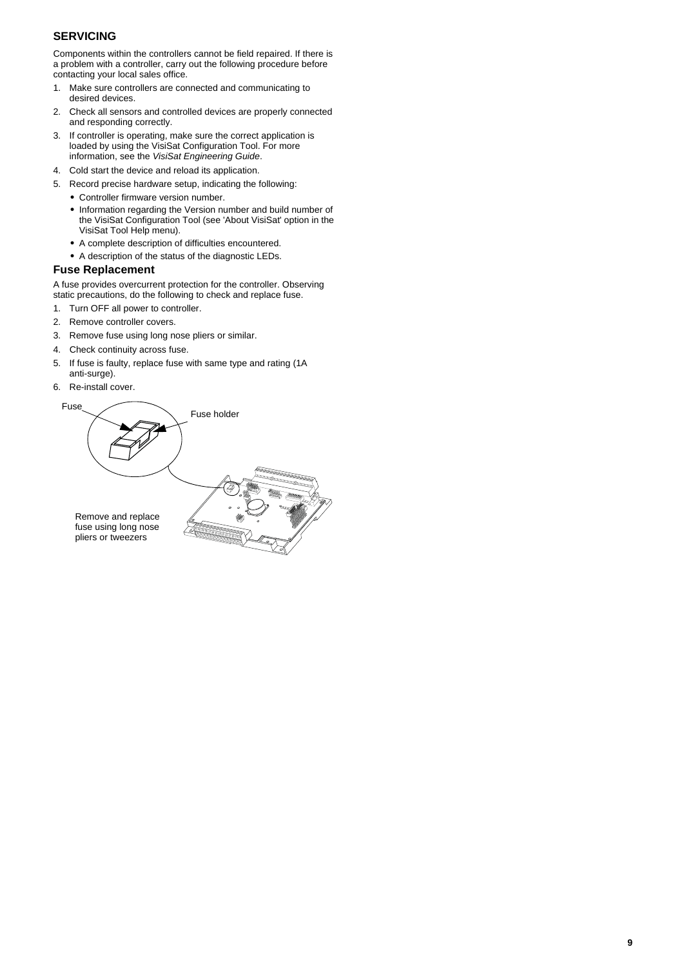# **SERVICING**

Components within the controllers cannot be field repaired. If there is a problem with a controller, carry out the following procedure before contacting your local sales office.

- 1. Make sure controllers are connected and communicating to desired devices.
- 2. Check all sensors and controlled devices are properly connected and responding correctly.
- 3. If controller is operating, make sure the correct application is loaded by using the VisiSat Configuration Tool. For more information, see the *VisiSat Engineering Guide*.
- 4. Cold start the device and reload its application.
- 5. Record precise hardware setup, indicating the following:
	- **•** Controller firmware version number.
	- **•** Information regarding the Version number and build number of the VisiSat Configuration Tool (see 'About VisiSat' option in the VisiSat Tool Help menu).
	- **•** A complete description of difficulties encountered.
	- **•** A description of the status of the diagnostic LEDs.

# **Fuse Replacement**

A fuse provides overcurrent protection for the controller. Observing static precautions, do the following to check and replace fuse.

- 1. Turn OFF all power to controller.
- 2. Remove controller covers.
- 3. Remove fuse using long nose pliers or similar.
- 4. Check continuity across fuse.
- 5. If fuse is faulty, replace fuse with same type and rating (1A anti-surge).
- 6. Re-install cover.